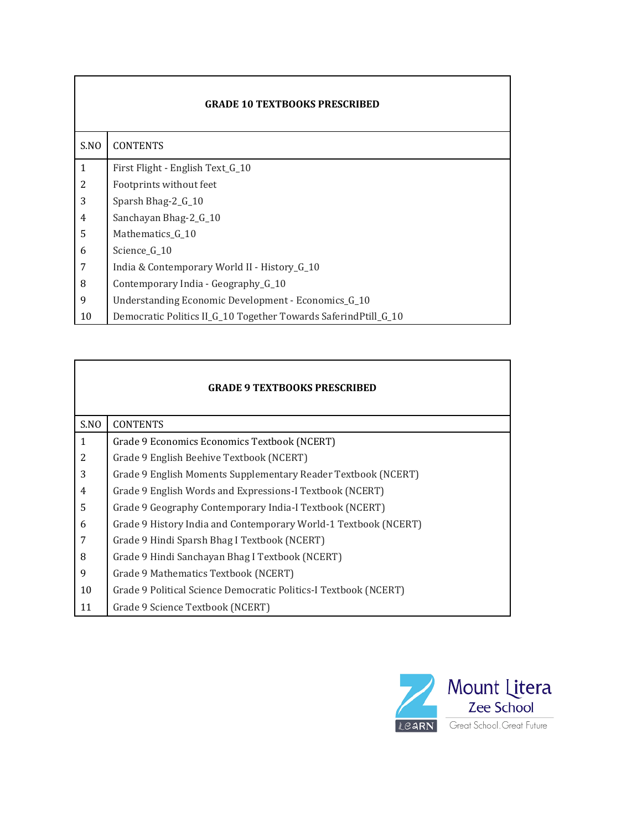| <b>GRADE 10 TEXTBOOKS PRESCRIBED</b> |                                                                 |  |  |  |  |
|--------------------------------------|-----------------------------------------------------------------|--|--|--|--|
| S.NO                                 | <b>CONTENTS</b>                                                 |  |  |  |  |
| $\mathbf{1}$                         | First Flight - English Text_G_10                                |  |  |  |  |
| 2                                    | Footprints without feet                                         |  |  |  |  |
| 3                                    | Sparsh Bhag-2_G_10                                              |  |  |  |  |
| 4                                    | Sanchayan Bhag-2 <sub>_G_10</sub>                               |  |  |  |  |
| 5                                    | Mathematics G 10                                                |  |  |  |  |
| 6                                    | Science G 10                                                    |  |  |  |  |
| 7                                    | India & Contemporary World II - History_G_10                    |  |  |  |  |
| 8                                    | Contemporary India - Geography <sub>-G</sub> -10                |  |  |  |  |
| 9                                    | Understanding Economic Development - Economics_G_10             |  |  |  |  |
| 10                                   | Democratic Politics II_G_10 Together Towards SaferindPtill_G_10 |  |  |  |  |

| <b>GRADE 9 TEXTBOOKS PRESCRIBED</b> |                                                                  |  |  |  |  |  |
|-------------------------------------|------------------------------------------------------------------|--|--|--|--|--|
| S.NO                                | <b>CONTENTS</b>                                                  |  |  |  |  |  |
| $\mathbf{1}$                        | Grade 9 Economics Economics Textbook (NCERT)                     |  |  |  |  |  |
| 2                                   | Grade 9 English Beehive Textbook (NCERT)                         |  |  |  |  |  |
| 3                                   | Grade 9 English Moments Supplementary Reader Textbook (NCERT)    |  |  |  |  |  |
| 4                                   | Grade 9 English Words and Expressions-I Textbook (NCERT)         |  |  |  |  |  |
| 5                                   | Grade 9 Geography Contemporary India-I Textbook (NCERT)          |  |  |  |  |  |
| 6                                   | Grade 9 History India and Contemporary World-1 Textbook (NCERT)  |  |  |  |  |  |
| 7                                   | Grade 9 Hindi Sparsh Bhag I Textbook (NCERT)                     |  |  |  |  |  |
| 8                                   | Grade 9 Hindi Sanchayan Bhag I Textbook (NCERT)                  |  |  |  |  |  |
| 9                                   | Grade 9 Mathematics Textbook (NCERT)                             |  |  |  |  |  |
| 10                                  | Grade 9 Political Science Democratic Politics-I Textbook (NCERT) |  |  |  |  |  |
| 11                                  | Grade 9 Science Textbook (NCERT)                                 |  |  |  |  |  |

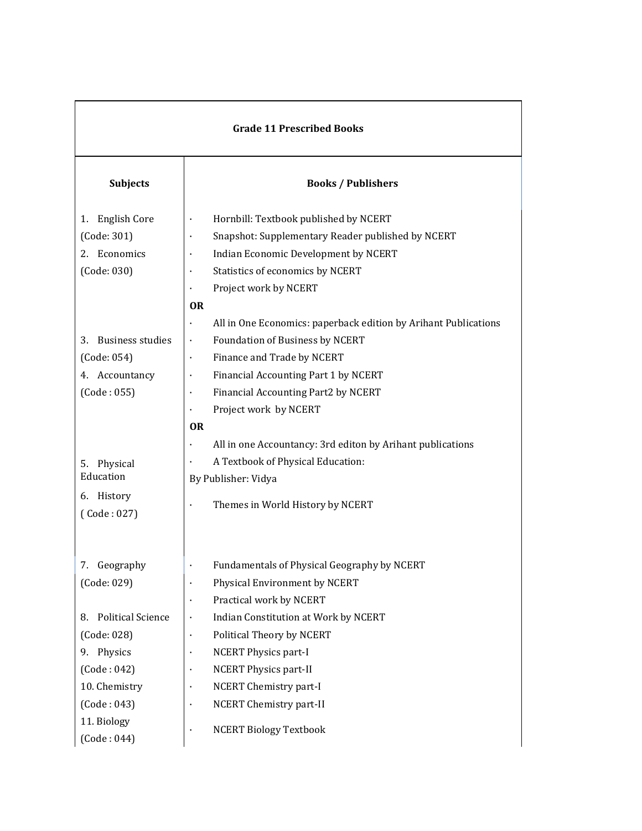| <b>Grade 11 Prescribed Books</b> |                                                                 |  |  |  |  |  |
|----------------------------------|-----------------------------------------------------------------|--|--|--|--|--|
| Subjects                         | <b>Books / Publishers</b>                                       |  |  |  |  |  |
| <b>English Core</b><br>1.        | Hornbill: Textbook published by NCERT                           |  |  |  |  |  |
| (Code: 301)                      | Snapshot: Supplementary Reader published by NCERT               |  |  |  |  |  |
| 2. Economics                     | Indian Economic Development by NCERT                            |  |  |  |  |  |
| (Code: 030)                      | Statistics of economics by NCERT                                |  |  |  |  |  |
|                                  | Project work by NCERT                                           |  |  |  |  |  |
|                                  | <b>OR</b>                                                       |  |  |  |  |  |
|                                  | All in One Economics: paperback edition by Arihant Publications |  |  |  |  |  |
| <b>Business studies</b><br>3.    | Foundation of Business by NCERT                                 |  |  |  |  |  |
| (Code: 054)                      | Finance and Trade by NCERT                                      |  |  |  |  |  |
| 4. Accountancy                   | Financial Accounting Part 1 by NCERT                            |  |  |  |  |  |
| (Code:055)                       | Financial Accounting Part2 by NCERT                             |  |  |  |  |  |
|                                  | Project work by NCERT                                           |  |  |  |  |  |
|                                  | <b>OR</b>                                                       |  |  |  |  |  |
|                                  | All in one Accountancy: 3rd editon by Arihant publications      |  |  |  |  |  |
| Physical<br>5.                   | A Textbook of Physical Education:                               |  |  |  |  |  |
| Education                        | By Publisher: Vidya                                             |  |  |  |  |  |
| 6. History<br>(Code: 027)        | Themes in World History by NCERT                                |  |  |  |  |  |
| Geography<br>7.                  | Fundamentals of Physical Geography by NCERT                     |  |  |  |  |  |
| (Code: 029)                      | Physical Environment by NCERT                                   |  |  |  |  |  |
|                                  | Practical work by NCERT                                         |  |  |  |  |  |
| <b>Political Science</b><br>8.   | Indian Constitution at Work by NCERT                            |  |  |  |  |  |
| (Code: 028)                      | Political Theory by NCERT                                       |  |  |  |  |  |
| 9. Physics                       | <b>NCERT Physics part-I</b>                                     |  |  |  |  |  |
| (Code:042)                       | <b>NCERT Physics part-II</b>                                    |  |  |  |  |  |
| 10. Chemistry                    | NCERT Chemistry part-I                                          |  |  |  |  |  |
| (Code:043)                       | NCERT Chemistry part-II                                         |  |  |  |  |  |
| 11. Biology<br>(Code:044)        | <b>NCERT Biology Textbook</b>                                   |  |  |  |  |  |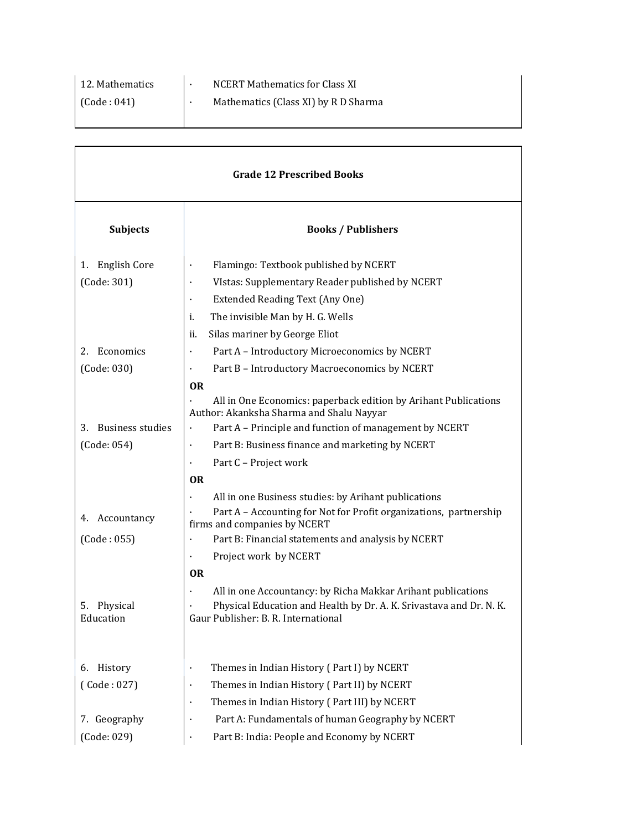| 12. Mathematics | <b>NCERT Mathematics for Class XI</b> |
|-----------------|---------------------------------------|
| (Code:041)      | Mathematics (Class XI) by R D Sharma  |
|                 |                                       |

| <b>Grade 12 Prescribed Books</b> |                                                                                                             |  |  |  |  |  |  |
|----------------------------------|-------------------------------------------------------------------------------------------------------------|--|--|--|--|--|--|
| <b>Subjects</b>                  | <b>Books / Publishers</b>                                                                                   |  |  |  |  |  |  |
| <b>English Core</b><br>1.        | Flamingo: Textbook published by NCERT<br>$\ddot{\phantom{0}}$                                               |  |  |  |  |  |  |
| (Code: 301)                      | VIstas: Supplementary Reader published by NCERT<br>$\bullet$                                                |  |  |  |  |  |  |
|                                  | Extended Reading Text (Any One)<br>$\bullet$                                                                |  |  |  |  |  |  |
|                                  | i.<br>The invisible Man by H. G. Wells                                                                      |  |  |  |  |  |  |
|                                  | Silas mariner by George Eliot<br>ii.                                                                        |  |  |  |  |  |  |
| Economics<br>2.                  | Part A - Introductory Microeconomics by NCERT<br>$\bullet$                                                  |  |  |  |  |  |  |
| (Code: 030)                      | Part B - Introductory Macroeconomics by NCERT                                                               |  |  |  |  |  |  |
|                                  | <b>OR</b>                                                                                                   |  |  |  |  |  |  |
|                                  | All in One Economics: paperback edition by Arihant Publications<br>Author: Akanksha Sharma and Shalu Nayyar |  |  |  |  |  |  |
| <b>Business studies</b><br>З.    | Part A - Principle and function of management by NCERT<br>$\cdot$                                           |  |  |  |  |  |  |
| (Code: 054)                      | Part B: Business finance and marketing by NCERT<br>$\bullet$                                                |  |  |  |  |  |  |
|                                  | Part C - Project work                                                                                       |  |  |  |  |  |  |
|                                  | <b>OR</b>                                                                                                   |  |  |  |  |  |  |
|                                  | All in one Business studies: by Arihant publications                                                        |  |  |  |  |  |  |
| Accountancy<br>4.                | Part A - Accounting for Not for Profit organizations, partnership<br>firms and companies by NCERT           |  |  |  |  |  |  |
| (Code:055)                       | Part B: Financial statements and analysis by NCERT                                                          |  |  |  |  |  |  |
|                                  | Project work by NCERT                                                                                       |  |  |  |  |  |  |
|                                  | <b>OR</b>                                                                                                   |  |  |  |  |  |  |
|                                  | All in one Accountancy: by Richa Makkar Arihant publications                                                |  |  |  |  |  |  |
| Physical<br>5.<br>Education      | Physical Education and Health by Dr. A. K. Srivastava and Dr. N. K.                                         |  |  |  |  |  |  |
|                                  | Gaur Publisher: B. R. International                                                                         |  |  |  |  |  |  |
|                                  |                                                                                                             |  |  |  |  |  |  |
| History<br>6.                    | Themes in Indian History (Part I) by NCERT<br>$\bullet$                                                     |  |  |  |  |  |  |
| (Code:027)                       | Themes in Indian History (Part II) by NCERT<br>$\ddot{\phantom{0}}$                                         |  |  |  |  |  |  |
|                                  | Themes in Indian History (Part III) by NCERT<br>$\bullet$                                                   |  |  |  |  |  |  |
| 7. Geography                     | Part A: Fundamentals of human Geography by NCERT<br>$\bullet$                                               |  |  |  |  |  |  |
| (Code: 029)                      | Part B: India: People and Economy by NCERT                                                                  |  |  |  |  |  |  |